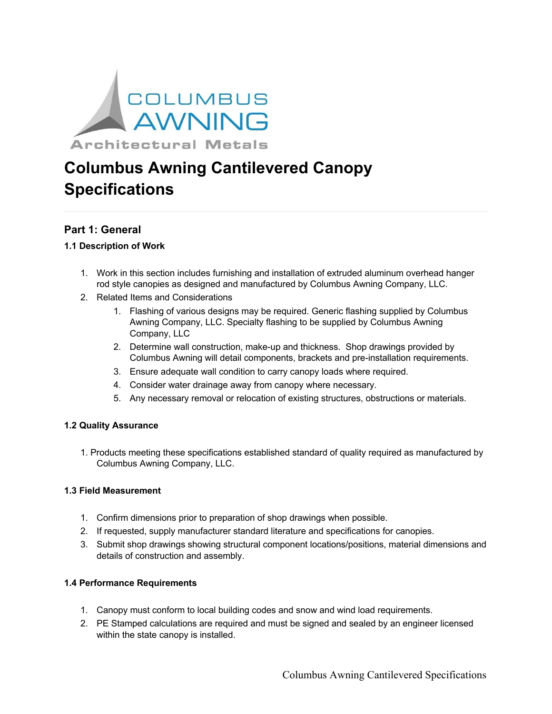

# **Columbus Awning Cantilevered Canopy Specifications**

# **Part 1: General**

# **1.1 Description of Work**

- 1. Work in this section includes furnishing and installation of extruded aluminum overhead hanger rod style canopies as designed and manufactured by Columbus Awning Company, LLC.
- 2. Related Items and Considerations
	- 1. Flashing of various designs may be required. Generic flashing supplied by Columbus Awning Company, LLC. Specialty flashing to be supplied by Columbus Awning Company, LLC
	- 2. Determine wall construction, make-up and thickness. Shop drawings provided by Columbus Awning will detail components, brackets and pre-installation requirements.
	- 3. Ensure adequate wall condition to carry canopy loads where required.
	- 4. Consider water drainage away from canopy where necessary.
	- 5. Any necessary removal or relocation of existing structures, obstructions or materials.

## **1.2 Quality Assurance**

1. Products meeting these specifications established standard of quality required as manufactured by Columbus Awning Company, LLC.

#### **1.3 Field Measurement**

- 1. Confirm dimensions prior to preparation of shop drawings when possible.
- 2. If requested, supply manufacturer standard literature and specifications for canopies.
- 3. Submit shop drawings showing structural component locations/positions, material dimensions and details of construction and assembly.

# **1.4 Performance Requirements**

- 1. Canopy must conform to local building codes and snow and wind load requirements.
- 2. PE Stamped calculations are required and must be signed and sealed by an engineer licensed within the state canopy is installed.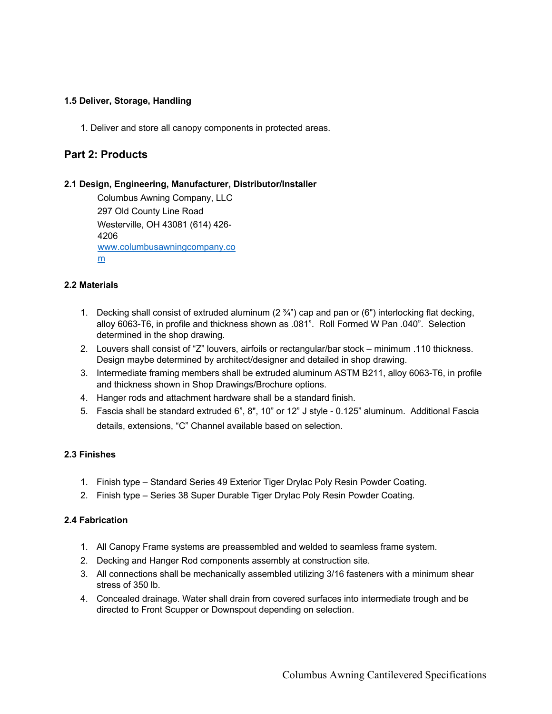## **1.5 Deliver, Storage, Handling**

1. Deliver and store all canopy components in protected areas.

# **Part 2: Products**

#### **2.1 Design, Engineering, Manufacturer, Distributor/Installer**

Columbus Awning Company, LLC 297 Old County Line Road Westerville, OH 43081 (614) 426- 4206 www.columbusawningcompany.co m

## **2.2 Materials**

- 1. Decking shall consist of extruded aluminum  $(2 \frac{3}{4})$  cap and pan or  $(6")$  interlocking flat decking, alloy 6063-T6, in profile and thickness shown as .081". Roll Formed W Pan .040". Selection determined in the shop drawing.
- 2. Louvers shall consist of "Z" louvers, airfoils or rectangular/bar stock minimum .110 thickness. Design maybe determined by architect/designer and detailed in shop drawing.
- 3. Intermediate framing members shall be extruded aluminum ASTM B211, alloy 6063-T6, in profile and thickness shown in Shop Drawings/Brochure options.
- 4. Hanger rods and attachment hardware shall be a standard finish.
- 5. Fascia shall be standard extruded 6", 8", 10" or 12" J style 0.125" aluminum. Additional Fascia details, extensions, "C" Channel available based on selection.

## **2.3 Finishes**

- 1. Finish type Standard Series 49 Exterior Tiger Drylac Poly Resin Powder Coating.
- 2. Finish type Series 38 Super Durable Tiger Drylac Poly Resin Powder Coating.

## **2.4 Fabrication**

- 1. All Canopy Frame systems are preassembled and welded to seamless frame system.
- 2. Decking and Hanger Rod components assembly at construction site.
- 3. All connections shall be mechanically assembled utilizing 3/16 fasteners with a minimum shear stress of 350 lb.
- 4. Concealed drainage. Water shall drain from covered surfaces into intermediate trough and be directed to Front Scupper or Downspout depending on selection.